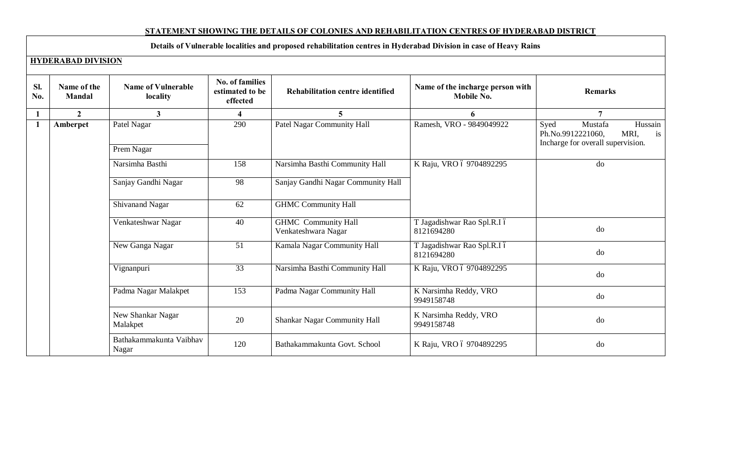## **STATEMENT SHOWING THE DETAILS OF COLONIES AND REHABILITATION CENTRES OF HYDERABAD DISTRICT**

# **Details of Vulnerable localities and proposed rehabilitation centres in Hyderabad Division in case of Heavy Rains**

#### **HYDERABAD DIVISION**

| SI.<br>No.     | Name of the<br><b>Mandal</b> | <b>Name of Vulnerable</b><br>locality | <b>No. of families</b><br>estimated to be<br>effected | Rehabilitation centre identified                  | Name of the incharge person with<br>Mobile No. | <b>Remarks</b>                                                                                     |
|----------------|------------------------------|---------------------------------------|-------------------------------------------------------|---------------------------------------------------|------------------------------------------------|----------------------------------------------------------------------------------------------------|
| 1              | $\overline{2}$               | $\overline{\mathbf{3}}$               | $\overline{\mathbf{4}}$                               | $\overline{5}$                                    | 6                                              | $\overline{7}$                                                                                     |
| $\blacksquare$ | Amberpet                     | Patel Nagar                           | 290                                                   | <b>Patel Nagar Community Hall</b>                 | Ramesh, VRO - 9849049922                       | Syed<br>Hussain<br>Mustafa<br>Ph.No.9912221060,<br>MRI,<br>is<br>Incharge for overall supervision. |
|                |                              | Prem Nagar                            |                                                       |                                                   |                                                |                                                                                                    |
|                |                              | Narsimha Basthi                       | 158                                                   | Narsimha Basthi Community Hall                    | K Raju, VRO ó 9704892295                       | do                                                                                                 |
|                |                              | Sanjay Gandhi Nagar                   | 98                                                    | Sanjay Gandhi Nagar Community Hall                |                                                |                                                                                                    |
|                |                              | Shivanand Nagar                       | 62                                                    | <b>GHMC Community Hall</b>                        |                                                |                                                                                                    |
|                |                              | Venkateshwar Nagar                    | 40                                                    | <b>GHMC</b> Community Hall<br>Venkateshwara Nagar | T Jagadishwar Rao Spl.R.I ó<br>8121694280      | do                                                                                                 |
|                |                              | New Ganga Nagar                       | 51                                                    | Kamala Nagar Community Hall                       | T Jagadishwar Rao Spl.R.I ó<br>8121694280      | do                                                                                                 |
|                |                              | Vignanpuri                            | 33                                                    | Narsimha Basthi Community Hall                    | K Raju, VRO ó 9704892295                       | do                                                                                                 |
|                |                              | Padma Nagar Malakpet                  | 153                                                   | Padma Nagar Community Hall                        | K Narsimha Reddy, VRO<br>9949158748            | do                                                                                                 |
|                |                              | New Shankar Nagar<br>Malakpet         | 20                                                    | Shankar Nagar Community Hall                      | K Narsimha Reddy, VRO<br>9949158748            | do                                                                                                 |
|                |                              | Bathakammakunta Vaibhav<br>Nagar      | 120                                                   | Bathakammakunta Govt. School                      | K Raju, VRO ó 9704892295                       | do                                                                                                 |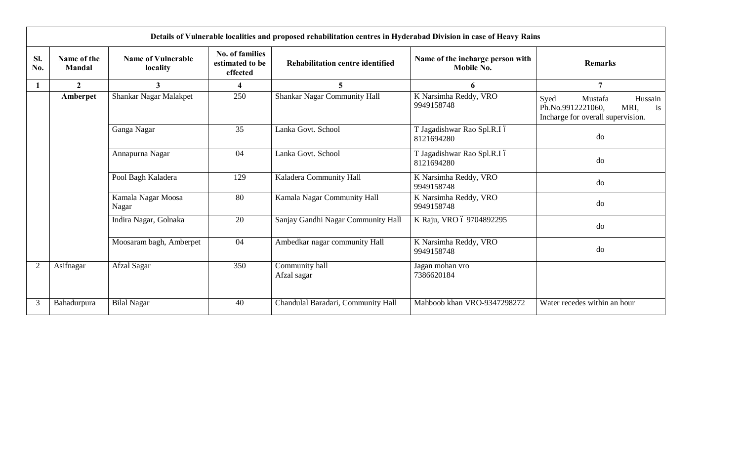|                | Details of Vulnerable localities and proposed rehabilitation centres in Hyderabad Division in case of Heavy Rains |                                       |                                                       |                                         |                                                |                                                                                                    |  |  |  |
|----------------|-------------------------------------------------------------------------------------------------------------------|---------------------------------------|-------------------------------------------------------|-----------------------------------------|------------------------------------------------|----------------------------------------------------------------------------------------------------|--|--|--|
| SI.<br>No.     | Name of the<br><b>Mandal</b>                                                                                      | <b>Name of Vulnerable</b><br>locality | <b>No. of families</b><br>estimated to be<br>effected | <b>Rehabilitation centre identified</b> | Name of the incharge person with<br>Mobile No. | <b>Remarks</b>                                                                                     |  |  |  |
|                | $\overline{2}$                                                                                                    | $\mathbf{3}$                          | 4                                                     | $5^{\circ}$                             | 6                                              | 7                                                                                                  |  |  |  |
|                | Amberpet                                                                                                          | Shankar Nagar Malakpet                | 250                                                   | Shankar Nagar Community Hall            | K Narsimha Reddy, VRO<br>9949158748            | Syed<br>Hussain<br>Mustafa<br>Ph.No.9912221060,<br>MRI,<br>is<br>Incharge for overall supervision. |  |  |  |
|                |                                                                                                                   | Ganga Nagar                           | 35                                                    | Lanka Govt. School                      | T Jagadishwar Rao Spl.R.I ó<br>8121694280      | do                                                                                                 |  |  |  |
|                |                                                                                                                   | Annapurna Nagar                       | 04                                                    | Lanka Govt. School                      | T Jagadishwar Rao Spl.R.I ó<br>8121694280      | do                                                                                                 |  |  |  |
|                |                                                                                                                   | Pool Bagh Kaladera                    | 129                                                   | Kaladera Community Hall                 | K Narsimha Reddy, VRO<br>9949158748            | do                                                                                                 |  |  |  |
|                |                                                                                                                   | Kamala Nagar Moosa<br>Nagar           | 80                                                    | Kamala Nagar Community Hall             | K Narsimha Reddy, VRO<br>9949158748            | do                                                                                                 |  |  |  |
|                |                                                                                                                   | Indira Nagar, Golnaka                 | 20                                                    | Sanjay Gandhi Nagar Community Hall      | K Raju, VRO ó 9704892295                       | do                                                                                                 |  |  |  |
|                |                                                                                                                   | Moosaram bagh, Amberpet               | 04                                                    | Ambedkar nagar community Hall           | K Narsimha Reddy, VRO<br>9949158748            | do                                                                                                 |  |  |  |
| $\overline{2}$ | Asifnagar                                                                                                         | Afzal Sagar                           | 350                                                   | Community hall<br>Afzal sagar           | Jagan mohan vro<br>7386620184                  |                                                                                                    |  |  |  |
| 3              | Bahadurpura                                                                                                       | <b>Bilal Nagar</b>                    | 40                                                    | Chandulal Baradari, Community Hall      | Mahboob khan VRO-9347298272                    | Water recedes within an hour                                                                       |  |  |  |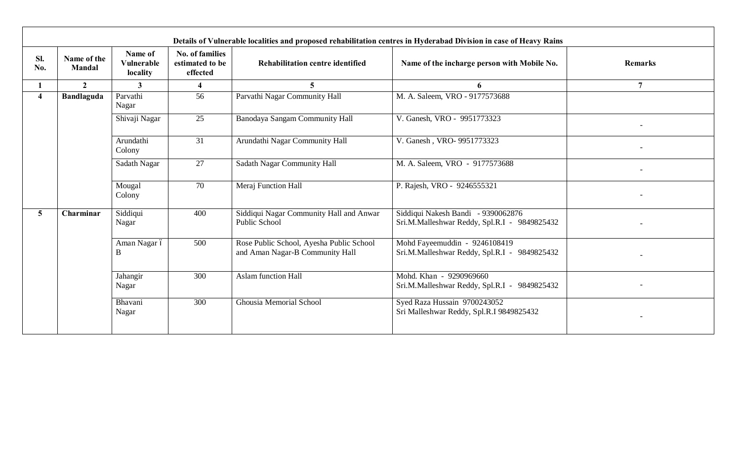|                         |                              |                                          |                                                       |                                                                             | Details of Vulnerable localities and proposed rehabilitation centres in Hyderabad Division in case of Heavy Rains |                |
|-------------------------|------------------------------|------------------------------------------|-------------------------------------------------------|-----------------------------------------------------------------------------|-------------------------------------------------------------------------------------------------------------------|----------------|
| SI.<br>No.              | Name of the<br><b>Mandal</b> | Name of<br><b>Vulnerable</b><br>locality | <b>No. of families</b><br>estimated to be<br>effected | Rehabilitation centre identified                                            | Name of the incharge person with Mobile No.                                                                       |                |
|                         | $\overline{2}$               | $\mathbf{3}$                             | $\overline{\mathbf{4}}$                               | 5                                                                           | 6                                                                                                                 | $\overline{7}$ |
| $\overline{\mathbf{4}}$ | <b>Bandlaguda</b>            | Parvathi<br>Nagar                        | 56                                                    | Parvathi Nagar Community Hall                                               | M. A. Saleem, VRO - 9177573688                                                                                    |                |
|                         |                              | Shivaji Nagar                            | 25                                                    | Banodaya Sangam Community Hall                                              | V. Ganesh, VRO - 9951773323                                                                                       |                |
|                         |                              | 31<br>Arundathi<br>Colony                |                                                       | Arundathi Nagar Community Hall                                              | V. Ganesh, VRO- 9951773323                                                                                        |                |
|                         |                              | Sadath Nagar                             | 27                                                    | Sadath Nagar Community Hall                                                 | M. A. Saleem, VRO - 9177573688                                                                                    |                |
|                         |                              | Mougal<br>Colony                         | 70                                                    | Meraj Function Hall                                                         | P. Rajesh, VRO - 9246555321                                                                                       |                |
| 5 <sup>5</sup>          | Charminar                    | Siddiqui<br>Nagar                        | 400                                                   | Siddiqui Nagar Community Hall and Anwar<br>Public School                    | Siddiqui Nakesh Bandi - 9390062876<br>Sri.M.Malleshwar Reddy, Spl.R.I - 9849825432                                |                |
|                         |                              | Aman Nagar ó<br>B                        | 500                                                   | Rose Public School, Ayesha Public School<br>and Aman Nagar-B Community Hall | Mohd Fayeemuddin - 9246108419<br>Sri.M.Malleshwar Reddy, Spl.R.I - 9849825432                                     |                |
|                         |                              | Jahangir<br>Nagar                        | 300                                                   | <b>Aslam function Hall</b>                                                  | Mohd. Khan - 9290969660<br>Sri.M.Malleshwar Reddy, Spl.R.I - 9849825432                                           |                |
|                         |                              | Bhavani<br>Nagar                         | 300                                                   | Ghousia Memorial School                                                     | Syed Raza Hussain 9700243052<br>Sri Malleshwar Reddy, Spl.R.I 9849825432                                          |                |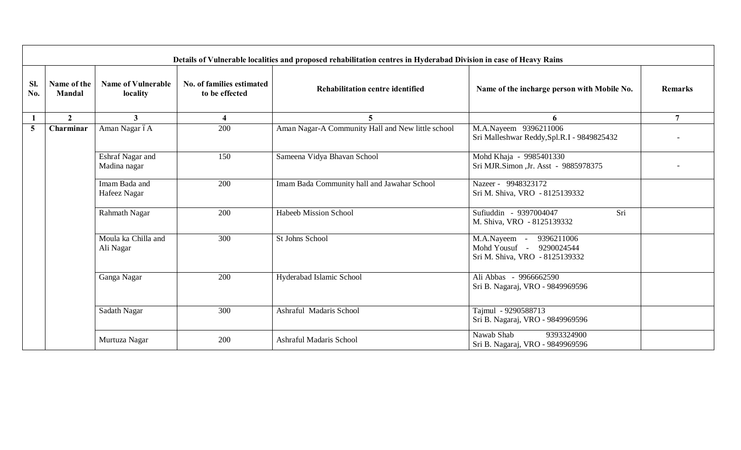|            | Details of Vulnerable localities and proposed rehabilitation centres in Hyderabad Division in case of Heavy Rains |                                       |                                             |                                                   |                                                                                             |                |  |  |  |  |  |
|------------|-------------------------------------------------------------------------------------------------------------------|---------------------------------------|---------------------------------------------|---------------------------------------------------|---------------------------------------------------------------------------------------------|----------------|--|--|--|--|--|
| SI.<br>No. | Name of the<br><b>Mandal</b>                                                                                      | <b>Name of Vulnerable</b><br>locality | No. of families estimated<br>to be effected | <b>Rehabilitation centre identified</b>           | Name of the incharge person with Mobile No.                                                 | <b>Remarks</b> |  |  |  |  |  |
| -1         | $\overline{2}$                                                                                                    | $\mathbf{3}$                          | $\overline{\mathbf{4}}$                     | 5                                                 | 6                                                                                           | $\overline{7}$ |  |  |  |  |  |
| 5          | Charminar                                                                                                         | Aman Nagar óA                         | 200                                         | Aman Nagar-A Community Hall and New little school | M.A.Nayeem 9396211006<br>Sri Malleshwar Reddy, Spl.R.I - 9849825432                         |                |  |  |  |  |  |
|            |                                                                                                                   | Eshraf Nagar and<br>Madina nagar      | 150                                         | Sameena Vidya Bhavan School                       | Mohd Khaja - 9985401330<br>Sri MJR.Simon ,Jr. Asst - 9885978375                             |                |  |  |  |  |  |
|            |                                                                                                                   | Imam Bada and<br>Hafeez Nagar         | 200                                         | Imam Bada Community hall and Jawahar School       | Nazeer - 9948323172<br>Sri M. Shiva, VRO - 8125139332                                       |                |  |  |  |  |  |
|            |                                                                                                                   | Rahmath Nagar                         | 200                                         | <b>Habeeb Mission School</b>                      | Sufiuddin - 9397004047<br>Sri<br>M. Shiva, VRO - 8125139332                                 |                |  |  |  |  |  |
|            |                                                                                                                   | Moula ka Chilla and<br>Ali Nagar      | 300                                         | St Johns School                                   | 9396211006<br>M.A.Nayeem -<br>Mohd Yousuf -<br>9290024544<br>Sri M. Shiva, VRO - 8125139332 |                |  |  |  |  |  |
|            |                                                                                                                   | Ganga Nagar                           | 200                                         | Hyderabad Islamic School                          | Ali Abbas - 9966662590<br>Sri B. Nagaraj, VRO - 9849969596                                  |                |  |  |  |  |  |
|            |                                                                                                                   | Sadath Nagar                          | 300                                         | Ashraful Madaris School                           | Tajmul - 9290588713<br>Sri B. Nagaraj, VRO - 9849969596                                     |                |  |  |  |  |  |
|            |                                                                                                                   | Murtuza Nagar                         | 200                                         | <b>Ashraful Madaris School</b>                    | Nawab Shab<br>9393324900<br>Sri B. Nagaraj, VRO - 9849969596                                |                |  |  |  |  |  |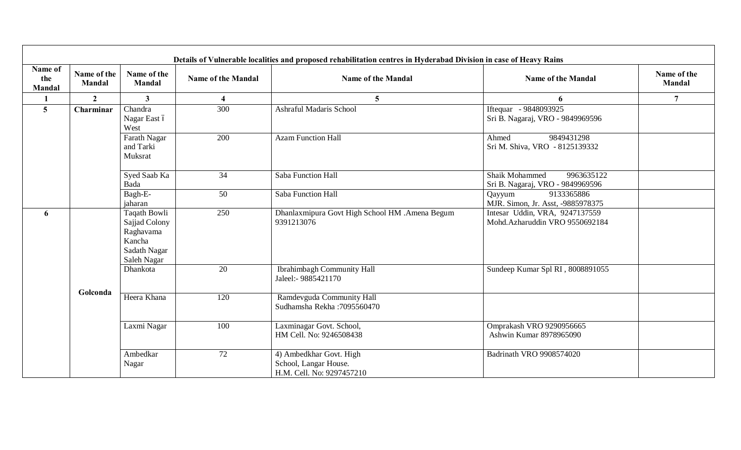|                                 |                              |                                                                                     |                           | Details of Vulnerable localities and proposed rehabilitation centres in Hyderabad Division in case of Heavy Rains |                                                                   |                       |
|---------------------------------|------------------------------|-------------------------------------------------------------------------------------|---------------------------|-------------------------------------------------------------------------------------------------------------------|-------------------------------------------------------------------|-----------------------|
| Name of<br>the<br><b>Mandal</b> | Name of the<br><b>Mandal</b> | Name of the<br><b>Mandal</b>                                                        | <b>Name of the Mandal</b> | <b>Name of the Mandal</b>                                                                                         | <b>Name of the Mandal</b>                                         | Name of the<br>Mandal |
|                                 | $\overline{2}$               | $\mathbf{3}$                                                                        | $\overline{\mathbf{4}}$   | $\overline{5}$                                                                                                    | 6                                                                 | $\overline{7}$        |
| $5\overline{)}$                 | Charminar                    | Chandra<br>Nagar East ó<br>West                                                     | $\overline{300}$          | <b>Ashraful Madaris School</b>                                                                                    | Iftequar - 9848093925<br>Sri B. Nagaraj, VRO - 9849969596         |                       |
|                                 |                              | Farath Nagar<br>and Tarki<br>Muksrat                                                | 200                       | <b>Azam Function Hall</b>                                                                                         | 9849431298<br>Ahmed<br>Sri M. Shiva, VRO - 8125139332             |                       |
|                                 |                              | Syed Saab Ka<br>Bada                                                                | 34                        | Saba Function Hall                                                                                                | Shaik Mohammed<br>9963635122<br>Sri B. Nagaraj, VRO - 9849969596  |                       |
|                                 |                              | Bagh-E-<br>jaharan                                                                  | 50                        | Saba Function Hall                                                                                                | 9133365886<br>Qayyum<br>MJR. Simon, Jr. Asst, -9885978375         |                       |
| 6                               |                              | Taqath Bowli<br>Sajjad Colony<br>Raghavama<br>Kancha<br>Sadath Nagar<br>Saleh Nagar | 250                       | Dhanlaxmipura Govt High School HM .Amena Begum<br>9391213076                                                      | Intesar Uddin, VRA, 9247137559<br>Mohd. Azharuddin VRO 9550692184 |                       |
|                                 |                              | Dhankota                                                                            | 20                        | <b>Ibrahimbagh Community Hall</b><br>Jaleel:- 9885421170                                                          | Sundeep Kumar Spl RI, 8008891055                                  |                       |
|                                 | Golconda                     | Heera Khana                                                                         | 120                       | Ramdevguda Community Hall<br>Sudhamsha Rekha: 7095560470                                                          |                                                                   |                       |
|                                 |                              | Laxmi Nagar                                                                         | 100                       | Laxminagar Govt. School,<br>HM Cell. No: 9246508438                                                               | Omprakash VRO 9290956665<br>Ashwin Kumar 8978965090               |                       |
|                                 |                              | Ambedkar<br>Nagar                                                                   | 72                        | 4) Ambedkhar Govt. High<br>School, Langar House.<br>H.M. Cell. No: 9297457210                                     | Badrinath VRO 9908574020                                          |                       |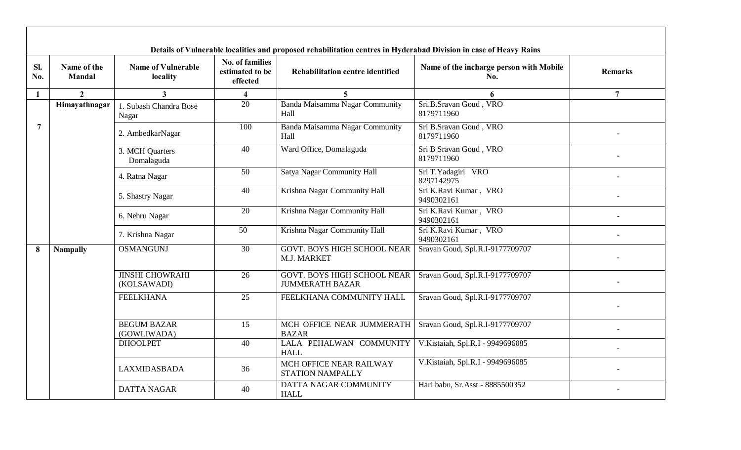|              |                              |                                       |                                                | Details of Vulnerable localities and proposed rehabilitation centres in Hyderabad Division in case of Heavy Rains |                                                |                |
|--------------|------------------------------|---------------------------------------|------------------------------------------------|-------------------------------------------------------------------------------------------------------------------|------------------------------------------------|----------------|
| Sl.<br>No.   | Name of the<br><b>Mandal</b> | <b>Name of Vulnerable</b><br>locality | No. of families<br>estimated to be<br>effected | <b>Rehabilitation centre identified</b>                                                                           | Name of the incharge person with Mobile<br>No. | <b>Remarks</b> |
| $\mathbf{1}$ | $\overline{2}$               | $\overline{3}$                        | $\overline{\mathbf{4}}$                        | $\overline{5}$                                                                                                    | 6                                              | $\overline{7}$ |
|              | Himayathnagar                | 1. Subash Chandra Bose<br>Nagar       | 20                                             | Banda Maisamma Nagar Community<br>Hall                                                                            | Sri.B.Sravan Goud, VRO<br>8179711960           |                |
| 7            |                              | 2. AmbedkarNagar                      | 100                                            | Banda Maisamma Nagar Community<br>Hall                                                                            | Sri B.Sravan Goud, VRO<br>8179711960           |                |
|              |                              | 3. MCH Quarters<br>Domalaguda         | 40                                             | Ward Office, Domalaguda                                                                                           | Sri B Sravan Goud, VRO<br>8179711960           |                |
|              |                              | 4. Ratna Nagar                        | 50                                             | Satya Nagar Community Hall                                                                                        | Sri T.Yadagiri VRO<br>8297142975               |                |
|              |                              | 5. Shastry Nagar                      | 40                                             | Krishna Nagar Community Hall                                                                                      | Sri K.Ravi Kumar, VRO<br>9490302161            |                |
|              |                              | 6. Nehru Nagar                        | 20                                             | Krishna Nagar Community Hall                                                                                      | Sri K.Ravi Kumar, VRO<br>9490302161            |                |
|              |                              | 7. Krishna Nagar                      | 50                                             | Krishna Nagar Community Hall                                                                                      | Sri K.Ravi Kumar, VRO<br>9490302161            |                |
| 8            | <b>Nampally</b>              | <b>OSMANGUNJ</b>                      | 30                                             | <b>GOVT. BOYS HIGH SCHOOL NEAR</b><br>M.J. MARKET                                                                 | Sravan Goud, Spl.R.I-9177709707                |                |
|              |                              | <b>JINSHI CHOWRAHI</b><br>(KOLSAWADI) | 26                                             | <b>GOVT. BOYS HIGH SCHOOL NEAR</b><br><b>JUMMERATH BAZAR</b>                                                      | Sravan Goud, Spl.R.I-9177709707                |                |
|              |                              | <b>FEELKHANA</b>                      | 25                                             | FEELKHANA COMMUNITY HALL                                                                                          | Sravan Goud, Spl.R.I-9177709707                |                |
|              |                              | <b>BEGUM BAZAR</b><br>(GOWLIWADA)     | 15                                             | MCH OFFICE NEAR JUMMERATH<br><b>BAZAR</b>                                                                         | Sravan Goud, Spl.R.I-9177709707                |                |
|              |                              | <b>DHOOLPET</b>                       | 40                                             | LALA PEHALWAN COMMUNITY<br><b>HALL</b>                                                                            | V.Kistaiah, Spl.R.I - 9949696085               |                |
|              |                              | <b>LAXMIDASBADA</b>                   | 36                                             | MCH OFFICE NEAR RAILWAY<br>STATION NAMPALLY                                                                       | V.Kistaiah, Spl.R.I - 9949696085               |                |
|              |                              | <b>DATTA NAGAR</b>                    | 40                                             | DATTA NAGAR COMMUNITY<br><b>HALL</b>                                                                              | Hari babu, Sr.Asst - 8885500352                |                |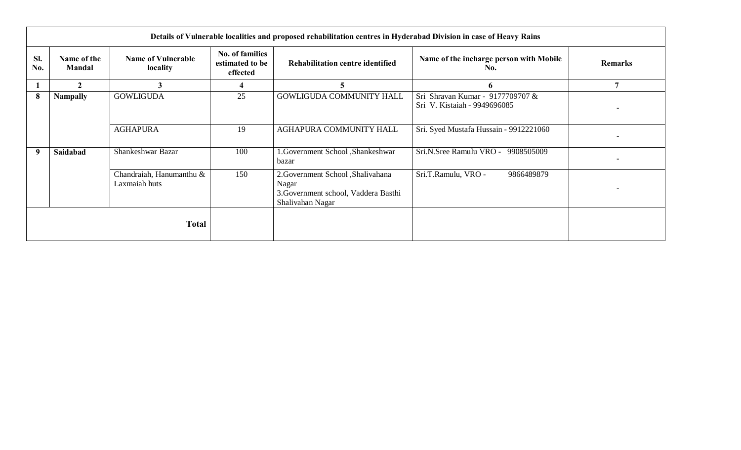|              | Details of Vulnerable localities and proposed rehabilitation centres in Hyderabad Division in case of Heavy Rains |                                           |                                                |                                                                                                         |                                                                  |                |  |  |
|--------------|-------------------------------------------------------------------------------------------------------------------|-------------------------------------------|------------------------------------------------|---------------------------------------------------------------------------------------------------------|------------------------------------------------------------------|----------------|--|--|
| SI.<br>No.   | Name of the<br><b>Mandal</b>                                                                                      | <b>Name of Vulnerable</b><br>locality     | No. of families<br>estimated to be<br>effected | Rehabilitation centre identified                                                                        | Name of the incharge person with Mobile<br>No.                   | <b>Remarks</b> |  |  |
|              | 2                                                                                                                 |                                           | 4                                              | 5                                                                                                       | 6                                                                | 7              |  |  |
| 8            | <b>Nampally</b>                                                                                                   | <b>GOWLIGUDA</b>                          | 25                                             | <b>GOWLIGUDA COMMUNITY HALL</b>                                                                         | Sri Shravan Kumar - 9177709707 &<br>Sri V. Kistaiah - 9949696085 |                |  |  |
|              |                                                                                                                   | <b>AGHAPURA</b>                           | 19                                             | AGHAPURA COMMUNITY HALL                                                                                 | Sri. Syed Mustafa Hussain - 9912221060                           |                |  |  |
| 9            | Saidabad                                                                                                          | Shankeshwar Bazar                         | 100                                            | .Government School ,Shankeshwar<br>bazar                                                                | Sri.N.Sree Ramulu VRO -<br>9908505009                            |                |  |  |
|              |                                                                                                                   | Chandraiah, Hanumanthu &<br>Laxmaiah huts | 150                                            | 2. Government School , Shalivahana<br>Nagar<br>3. Government school, Vaddera Basthi<br>Shalivahan Nagar | Sri.T.Ramulu, VRO -<br>9866489879                                |                |  |  |
| <b>Total</b> |                                                                                                                   |                                           |                                                |                                                                                                         |                                                                  |                |  |  |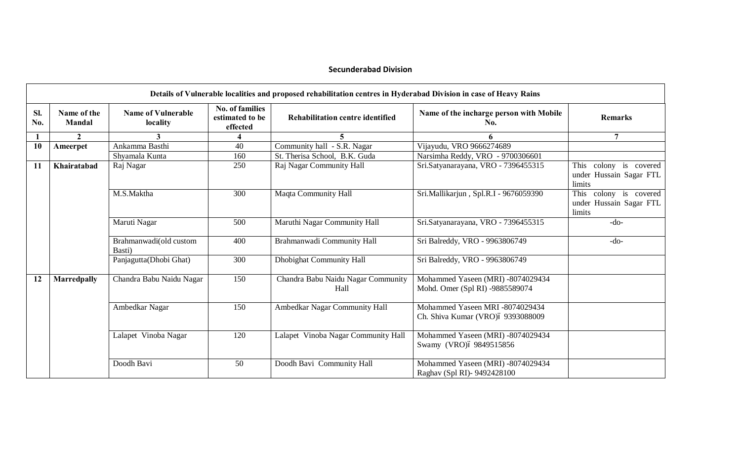## **Secunderabad Division**

|            |                              |                                       |                                                       | Details of Vulnerable localities and proposed rehabilitation centres in Hyderabad Division in case of Heavy Rains |                                                                      |                                                             |
|------------|------------------------------|---------------------------------------|-------------------------------------------------------|-------------------------------------------------------------------------------------------------------------------|----------------------------------------------------------------------|-------------------------------------------------------------|
| SI.<br>No. | Name of the<br><b>Mandal</b> | <b>Name of Vulnerable</b><br>locality | <b>No. of families</b><br>estimated to be<br>effected | <b>Rehabilitation centre identified</b>                                                                           | Name of the incharge person with Mobile<br>No.                       | <b>Remarks</b>                                              |
|            | $\mathbf{2}$                 |                                       |                                                       |                                                                                                                   | 6                                                                    | 7                                                           |
| 10         | Ameerpet                     | Ankamma Basthi                        | 40                                                    | Community hall - S.R. Nagar                                                                                       | Vijayudu, VRO 9666274689                                             |                                                             |
|            |                              | Shyamala Kunta                        | 160                                                   | St. Therisa School, B.K. Guda                                                                                     | Narsimha Reddy, VRO - 9700306601                                     |                                                             |
| 11         | Khairatabad                  | Raj Nagar                             | 250                                                   | Raj Nagar Community Hall                                                                                          | Sri.Satyanarayana, VRO - 7396455315                                  | This colony is covered<br>under Hussain Sagar FTL<br>limits |
|            |                              | M.S.Maktha                            | 300                                                   | Maqta Community Hall                                                                                              | Sri. Mallikarjun, Spl. R. I - 9676059390                             | This colony is covered<br>under Hussain Sagar FTL<br>limits |
|            |                              | Maruti Nagar                          | 500                                                   | Maruthi Nagar Community Hall                                                                                      | Sri.Satyanarayana, VRO - 7396455315                                  | $-do-$                                                      |
|            |                              | Brahmanwadi(old custom<br>Basti)      | 400                                                   | Brahmanwadi Community Hall                                                                                        | Sri Balreddy, VRO - 9963806749                                       | $-do-$                                                      |
|            |                              | Panjagutta(Dhobi Ghat)                | 300                                                   | <b>Dhobighat Community Hall</b>                                                                                   | Sri Balreddy, VRO - 9963806749                                       |                                                             |
| 12         | <b>Marredpally</b>           | Chandra Babu Naidu Nagar              | 150                                                   | Chandra Babu Naidu Nagar Community<br>Hall                                                                        | Mohammed Yaseen (MRI) -8074029434<br>Mohd. Omer (Spl RI) -9885589074 |                                                             |
|            |                              | Ambedkar Nagar                        | 150                                                   | Ambedkar Nagar Community Hall                                                                                     | Mohammed Yaseen MRI -8074029434<br>Ch. Shiva Kumar (VRO)ó 9393088009 |                                                             |
|            |                              | Lalapet Vinoba Nagar                  | 120                                                   | Lalapet Vinoba Nagar Community Hall                                                                               | Mohammed Yaseen (MRI) -8074029434<br>Swamy (VRO) 69849515856         |                                                             |
|            |                              | Doodh Bavi                            | 50                                                    | Doodh Bavi Community Hall                                                                                         | Mohammed Yaseen (MRI) -8074029434<br>Raghav (Spl RI)- 9492428100     |                                                             |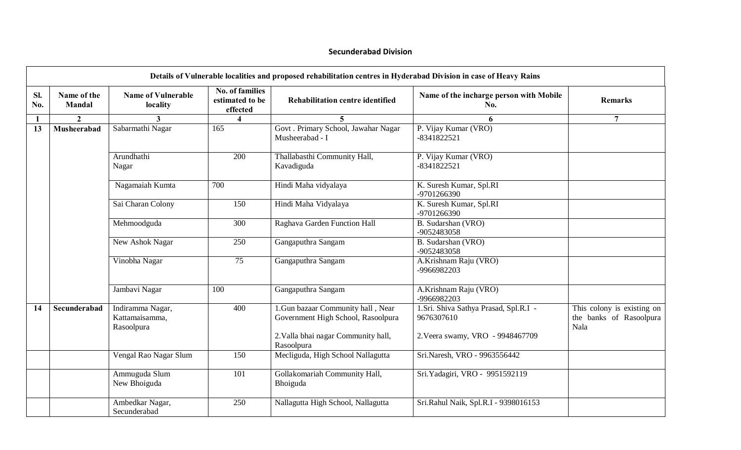#### **Secunderabad Division**

|            | Details of Vulnerable localities and proposed rehabilitation centres in Hyderabad Division in case of Heavy Rains |                                                  |                                                       |                                                                          |                                                     |                                                               |  |  |  |
|------------|-------------------------------------------------------------------------------------------------------------------|--------------------------------------------------|-------------------------------------------------------|--------------------------------------------------------------------------|-----------------------------------------------------|---------------------------------------------------------------|--|--|--|
| Sl.<br>No. | Name of the<br><b>Mandal</b>                                                                                      | <b>Name of Vulnerable</b><br>locality            | <b>No. of families</b><br>estimated to be<br>effected | <b>Rehabilitation centre identified</b>                                  | Name of the incharge person with Mobile<br>No.      | <b>Remarks</b>                                                |  |  |  |
|            | $\overline{2}$                                                                                                    | 3                                                | $\boldsymbol{\Lambda}$                                | $\overline{5}$                                                           | 6                                                   | $\overline{7}$                                                |  |  |  |
| 13         | Musheerabad                                                                                                       | Sabarmathi Nagar                                 | 165                                                   | Govt . Primary School, Jawahar Nagar<br>Musheerabad - I                  | P. Vijay Kumar (VRO)<br>-8341822521                 |                                                               |  |  |  |
|            |                                                                                                                   | Arundhathi<br>Nagar                              | 200                                                   | Thallabasthi Community Hall,<br>Kavadiguda                               | P. Vijay Kumar (VRO)<br>-8341822521                 |                                                               |  |  |  |
|            |                                                                                                                   | Nagamaiah Kumta                                  | 700                                                   | Hindi Maha vidyalaya                                                     | K. Suresh Kumar, Spl.RI<br>-9701266390              |                                                               |  |  |  |
|            |                                                                                                                   | Sai Charan Colony                                | 150                                                   | Hindi Maha Vidyalaya                                                     | K. Suresh Kumar, Spl.RI<br>-9701266390              |                                                               |  |  |  |
|            |                                                                                                                   | Mehmoodguda                                      | 300                                                   | Raghava Garden Function Hall                                             | B. Sudarshan (VRO)<br>-9052483058                   |                                                               |  |  |  |
|            |                                                                                                                   | New Ashok Nagar                                  | 250                                                   | Gangaputhra Sangam                                                       | B. Sudarshan (VRO)<br>-9052483058                   |                                                               |  |  |  |
|            |                                                                                                                   | Vinobha Nagar                                    | 75                                                    | Gangaputhra Sangam                                                       | A.Krishnam Raju (VRO)<br>-9966982203                |                                                               |  |  |  |
|            |                                                                                                                   | Jambavi Nagar                                    | 100                                                   | Gangaputhra Sangam                                                       | A.Krishnam Raju (VRO)<br>-9966982203                |                                                               |  |  |  |
| 14         | Secunderabad                                                                                                      | Indiramma Nagar,<br>Kattamaisamma,<br>Rasoolpura | 400                                                   | 1. Gun bazaar Community hall, Near<br>Government High School, Rasoolpura | 1.Sri. Shiva Sathya Prasad, Spl.R.I -<br>9676307610 | This colony is existing on<br>the banks of Rasoolpura<br>Nala |  |  |  |
|            |                                                                                                                   |                                                  |                                                       | 2. Valla bhai nagar Community hall,<br>Rasoolpura                        | 2. Veera swamy, VRO - 9948467709                    |                                                               |  |  |  |
|            |                                                                                                                   | Vengal Rao Nagar Slum                            | 150                                                   | Mecliguda, High School Nallagutta                                        | Sri.Naresh, VRO - 9963556442                        |                                                               |  |  |  |
|            |                                                                                                                   | Ammuguda Slum<br>New Bhoiguda                    | 101                                                   | Gollakomariah Community Hall,<br>Bhoiguda                                | Sri. Yadagiri, VRO - 9951592119                     |                                                               |  |  |  |
|            |                                                                                                                   | Ambedkar Nagar,<br>Secunderabad                  | 250                                                   | Nallagutta High School, Nallagutta                                       | Sri.Rahul Naik, Spl.R.I - 9398016153                |                                                               |  |  |  |